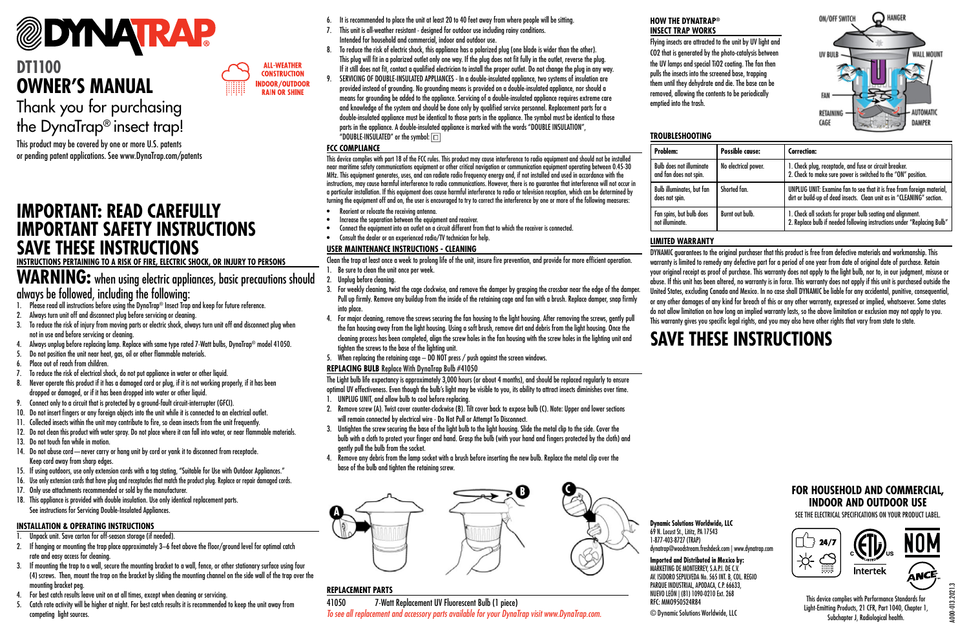

# **DT1100 OWNER'S MANUAL**

Thank you for purchasing the DynaTrap® insect trap!

This product may be covered by one or more U.S. patents

### **IMPORTANT: READ CAREFULLY IMPORTANT SAFETY INSTRUCTIONS SAVE THESE INSTRUCTIONS**

**INSTRUCTIONS PERTAINING TO A RISK OF FIRE, ELECTRIC SHOCK, OR INJURY TO PERSONS**

### **WARNING:** when using electric appliances, basic precautions should always be followed, including the following:

1. Please read all instructions before using the DynaTrap® Insect Trap and keep for future reference.

- 2. Always turn unit off and disconnect plug before servicing or cleaning.
- 3. To reduce the risk of injury from moving parts or electric shock, always turn unit off and disconnect plug when not in use and before servicing or cleaning.
- 4. Always unplug before replacing lamp. Replace with same type rated 7-Watt bulbs, DynaTrap® model 41050.
- 5. Do not position the unit near heat, gas, oil or other flammable materials.
- 6. Place out of reach from children.
- 7. To reduce the risk of electrical shock, do not put appliance in water or other liquid.
- 8. Never operate this product if it has a damaged cord or plug, if it is not working properly, if it has been dropped or damaged, or if it has been dropped into water or other liquid.
- 9. Connect only to a circuit that is protected by a ground-fault circuit-interrupter (GFCI).
- 10. Do not insert fingers or any foreign objects into the unit while it is connected to an electrical outlet.
- 11. Collected insects within the unit may contribute to fire, so clean insects from the unit frequently.
- 12. Do not clean this product with water spray. Do not place where it can fall into water, or near flammable materials.
- 13. Do not touch fan while in motion.
- 14. Do not abuse cord—never carry or hang unit by cord or yank it to disconnect from receptacle. Keep cord away from sharp edges.
- 15. If using outdoors, use only extension cords with a tag stating, "Suitable for Use with Outdoor Appliances."
- 16. Use only extension cords that have plug and receptacles that match the product plug. Replace or repair damaged cords.
- 17. Only use attachments recommended or sold by the manufacturer.
- 18. This appliance is provided with double insulation. Use only identical replacement parts. See instructions for Servicing Double-Insulated Appliances.

### **INSTALLATION & OPERATING INSTRUCTIONS**

- Unpack unit. Save carton for off-season storage (if needed).
- 2. If hanging or mounting the trap place approximately 3–6 feet above the floor/ground level for optimal catch rate and easy access for cleaning.
- 3. If mounting the trap to a wall, secure the mounting bracket to a wall, fence, or other stationary surface using four (4) screws. Then, mount the trap on the bracket by sliding the mounting channel on the side wall of the trap over the mounting bracket peg.
- 4. For best catch results leave unit on at all times, except when cleaning or servicing.
- 5. Catch rate activity will be higher at night. For best catch results it is recommended to keep the unit away from competing light sources.
- 6. It is recommended to place the unit at least 20 to 40 feet away from where people will be sitting.
- 7. This unit is all-weather resistant designed for outdoor use including rainy conditions. Intended for household and commercial, indoor and outdoor use.
- 8. To reduce the risk of electric shock, this appliance has a polarized plug (one blade is wider than the other). This plug will fit in a polarized outlet only one way. If the plug does not fit fully in the outlet, reverse the plug. If it still does not fit, contact a qualified electrician to install the proper outlet. Do not change the plug in any way.
- 9. SERVICING OF DOUBLE-INSULATED APPLIANCES In a double-insulated appliance, two systems of insulation are provided instead of grounding. No grounding means is provided on a double-insulated appliance, nor should a means for grounding be added to the appliance. Servicing of a double-insulated appliance requires extreme care and knowledge of the system and should be done only by qualified service personnel. Replacement parts for a double-insulated appliance must be identical to those parts in the appliance. The symbol must be identical to those parts in the appliance. A double-insulated appliance is marked with the words "DOUBLE INSULATION". "DOUBLE-INSULATED" or the symbol:  $\boxed{\Box}$

### **FCC COMPLIANCE**

**ALL-WEATHER CONSTRUCTION INDOOR/OUTDOOR RAIN OR SHINE** 

or pending patent applications. See www.DynaTrap.com/patents examples the complies with part 18 of the FCC rules. This product may cause interference to radio equipment and should not be installed restant and the modem: near maritime safety communications equipment or other critical navigation or communication equipment operating between 0.45-30 MHz. This equipment generates, uses, and can radiate radio frequency energy and, if not installed and used in accordance with the instructions, may cause harmful interference to radio communications. However, there is no guarantee that interference will not occur in a particular installation. If this equipment does cause harmful interference to radio or television reception, which can be determined by turning the equipment off and on, the user is encouraged to try to correct the interference by one or more of the following measures:

- Reorient or relocate the receiving antenna.
- Increase the separation between the equipment and receiver.
- Connect the equipment into an outlet on a circuit different from that to which the receiver is connected
- Consult the dealer or an experienced radio/TV technician for help.

### **USER MAINTENANCE INSTRUCTIONS - CLEANING**

Clean the trap at least once a week to prolong life of the unit, insure fire prevention, and provide for more efficient operation.

- 1. Be sure to clean the unit once per week.
- 2. Unplug before cleaning.
- 3. For weekly cleaning, twist the cage clockwise, and remove the damper by grasping the crossbar near the edge of the damper. Pull up firmly. Remove any buildup from the inside of the retaining cage and fan with a brush. Replace damper, snap firmly into place.
- 4. For major cleaning, remove the screws securing the fan housing to the light housing. After removing the screws, gently pull the fan housing away from the light housing. Using a soft brush, remove dirt and debris from the light housing. Once the cleaning process has been completed, align the screw holes in the fan housing with the screw holes in the lighting unit and tighten the screws to the base of the lighting unit.
- 5. When replacing the retaining cage DO NOT press / push against the screen windows.
- **REPLACING BULB** Replace With DynaTrap Bulb #41050

The Light bulb life expectancy is approximately 3,000 hours (or about 4 months), and should be replaced regularly to ensure optimal UV effectiveness. Even though the bulb's light may be visible to you, its ability to attract insects diminishes over time. 1. UNPLUG UNIT, and allow bulb to cool before replacing.

- 2. Remove screw (A). Twist cover counter-clockwise (B). Tilt cover back to expose bulb (C). Note: Upper and lower sections will remain connected by electrical wire - Do Not Pull or Attempt To Disconnect.
- 3. Untighten the screw securing the base of the light bulb to the light housing. Slide the metal clip to the side. Cover the bulb with a cloth to protect your finger and hand. Grasp the bulb (with your hand and fingers protected by the cloth) and gently pull the bulb from the socket.
- 4. Remove any debris from the lamp socket with a brush before inserting the new bulb. Replace the metal clip over the base of the bulb and tighten the retaining screw.



### **REPLACEMENT PARTS**

**A**

41050 7-Watt Replacement UV Fluorescent Bulb (1 piece) *To see all replacement and accessory parts available for your DynaTrap visit www.DynaTrap.com.*

### **HOW THE DYNATRAP® INSECT TRAP WORKS**

Flying insects are attracted to the unit by UV light and CO2 that is generated by the photo-catalysis between the UV lamps and special TiO2 coating. The fan then pulls the insects into the screened base, trapping them until they dehydrate and die. The base can be removed, allowing the contents to be periodically emptied into the trash.

| <b>Problem:</b>                                           | Possible cause:      | <b>Correction:</b>                                                                                                                               |  |
|-----------------------------------------------------------|----------------------|--------------------------------------------------------------------------------------------------------------------------------------------------|--|
| <b>Bulb does not illuminate</b><br>and fan does not spin. | No electrical power. | 1. Check plug, receptacle, and fuse or circuit breaker.<br>2. Check to make sure power is switched to the "ON" position.                         |  |
| Bulb illuminates, but fan<br>does not spin.               | Shorted fan.         | UNPLUG UNIT: Examine fan to see that it is free from foreign material,<br>dirt or build-up of dead insects. Clean unit as in "CLEANING" section. |  |
| Fan spins, but bulb does<br>not illuminate.               | Burnt out bulb.      | 1. Check all sockets for proper bulb seating and alignment.<br>2. Replace bulb if needed following instructions under "Replacing Bulb"           |  |

### **LIMITED WARRANTY**

**TROUBLESHOOTING**

DYNAMIC guarantees to the original purchaser that this product is free from defective materials and workmanship. This warranty is limited to remedy any defective part for a period of one year from date of original date of purchase. Retain your original receipt as proof of purchase. This warranty does not apply to the light bulb, nor to, in our judgment, misuse or abuse. If this unit has been altered, no warranty is in force. This warranty does not apply if this unit is purchased outside the United States, excluding Canada and Mexico. In no case shall DYNAMIC be liable for any accidental, punitive, consequential, or any other damages of any kind for breach of this or any other warranty, expressed or implied, whatsoever. Some states do not allow limitation on how long an implied warranty lasts, so the above limitation or exclusion may not apply to you. This warranty gives you specific legal rights, and you may also have other rights that vary from state to state.

# **SAVE THESE INSTRUCTIONS**

dynatrap@woodstream.freshdesk.com | www.dynatrap.com

**Imported and Distributed in Mexico by:** MARKETING DE MONTERREY, S.A.P.I. DE C.V. AV. ISIDORO SEPULVEDA No. 565 INT. B, COL. REGIO PARQUE INDUSTRIAL, APODACA, C.P. 66633, NUEVO LEÓN | (81) 1090-0210 Ext. 268

© Dynamic Solutions Worldwide, LLC

RFC: MMO950524R84

### **FOR HOUSEHOLD AND COMMERCIAL, INDOOR AND OUTDOOR USE**

○ **HANGER** 

**WALL MOUND** 

DAMPER

ON/OFF SWITCH

**UV BULB** 

RETAININ CAGE

SEE THE ELECTRICAL SPECIFICATIONS ON YOUR PRODUCT LABEL.



This device complies with Performance Standards for Light-Emitting Products, 21 CFR, Part 1040, Chapter 1, Subchapter J, Radiological health.